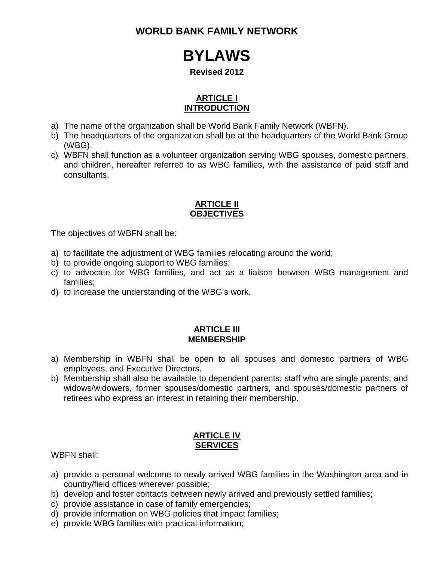**WORLD BANK FAMILY NETWORK**

# **BYLAWS**

#### **Revised 2012**

# **ARTICLE I INTRODUCTION**

- a) The name of the organization shall be World Bank Family Network (WBFN).
- b) The headquarters of the organization shall be at the headquarters of the World Bank Group (WBG).
- c) WBFN shall function as a volunteer organization serving WBG spouses, domestic partners, and children, hereafter referred to as WBG families, with the assistance of paid staff and consultants.

#### **ARTICLE II OBJECTIVES**

The objectives of WBFN shall be:

- a) to facilitate the adjustment of WBG families relocating around the world;
- b) to provide ongoing support to WBG families;
- c) to advocate for WBG families, and act as a liaison between WBG management and families;
- d) to increase the understanding of the WBG's work.

#### **ARTICLE III MEMBERSHIP**

- a) Membership in WBFN shall be open to all spouses and domestic partners of WBG employees, and Executive Directors.
- b) Membership shall also be available to dependent parents; staff who are single parents; and widows/widowers, former spouses/domestic partners, and spouses/domestic partners of retirees who express an interest in retaining their membership.

#### **ARTICLE IV SERVICES**

WBFN shall:

- a) provide a personal welcome to newly arrived WBG families in the Washington area and in country/field offices wherever possible;
- b) develop and foster contacts between newly arrived and previously settled families;
- c) provide assistance in case of family emergencies;
- d) provide information on WBG policies that impact families;
- e) provide WBG families with practical information;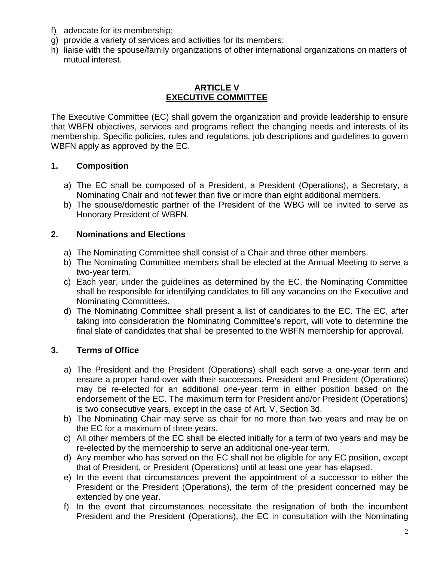- f) advocate for its membership;
- g) provide a variety of services and activities for its members;
- h) liaise with the spouse/family organizations of other international organizations on matters of mutual interest.

#### **ARTICLE V EXECUTIVE COMMITTEE**

The Executive Committee (EC) shall govern the organization and provide leadership to ensure that WBFN objectives, services and programs reflect the changing needs and interests of its membership. Specific policies, rules and regulations, job descriptions and guidelines to govern WBFN apply as approved by the EC.

#### **1. Composition**

- a) The EC shall be composed of a President, a President (Operations), a Secretary, a Nominating Chair and not fewer than five or more than eight additional members.
- b) The spouse/domestic partner of the President of the WBG will be invited to serve as Honorary President of WBFN.

#### **2. Nominations and Elections**

- a) The Nominating Committee shall consist of a Chair and three other members.
- b) The Nominating Committee members shall be elected at the Annual Meeting to serve a two-year term.
- c) Each year, under the guidelines as determined by the EC, the Nominating Committee shall be responsible for identifying candidates to fill any vacancies on the Executive and Nominating Committees.
- d) The Nominating Committee shall present a list of candidates to the EC. The EC, after taking into consideration the Nominating Committee's report, will vote to determine the final slate of candidates that shall be presented to the WBFN membership for approval.

#### **3. Terms of Office**

- a) The President and the President (Operations) shall each serve a one-year term and ensure a proper hand-over with their successors. President and President (Operations) may be re-elected for an additional one-year term in either position based on the endorsement of the EC. The maximum term for President and/or President (Operations) is two consecutive years, except in the case of Art. V, Section 3d.
- b) The Nominating Chair may serve as chair for no more than two years and may be on the EC for a maximum of three years.
- c) All other members of the EC shall be elected initially for a term of two years and may be re-elected by the membership to serve an additional one-year term.
- d) Any member who has served on the EC shall not be eligible for any EC position, except that of President, or President (Operations) until at least one year has elapsed.
- e) In the event that circumstances prevent the appointment of a successor to either the President or the President (Operations), the term of the president concerned may be extended by one year.
- f) In the event that circumstances necessitate the resignation of both the incumbent President and the President (Operations), the EC in consultation with the Nominating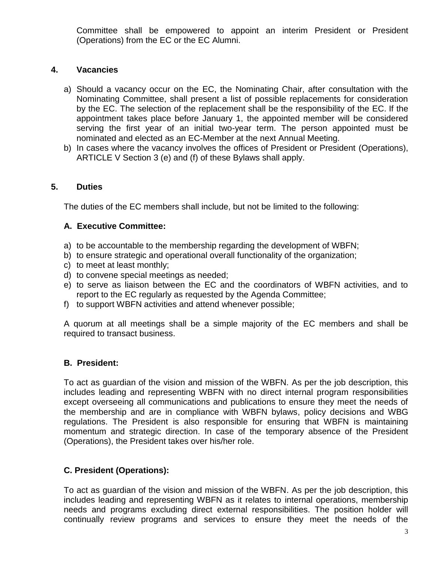Committee shall be empowered to appoint an interim President or President (Operations) from the EC or the EC Alumni.

# **4. Vacancies**

- a) Should a vacancy occur on the EC, the Nominating Chair, after consultation with the Nominating Committee, shall present a list of possible replacements for consideration by the EC. The selection of the replacement shall be the responsibility of the EC. If the appointment takes place before January 1, the appointed member will be considered serving the first year of an initial two-year term. The person appointed must be nominated and elected as an EC-Member at the next Annual Meeting.
- b) In cases where the vacancy involves the offices of President or President (Operations), ARTICLE V Section 3 (e) and (f) of these Bylaws shall apply.

# **5. Duties**

The duties of the EC members shall include, but not be limited to the following:

#### **A. Executive Committee:**

- a) to be accountable to the membership regarding the development of WBFN;
- b) to ensure strategic and operational overall functionality of the organization;
- c) to meet at least monthly;
- d) to convene special meetings as needed;
- e) to serve as liaison between the EC and the coordinators of WBFN activities, and to report to the EC regularly as requested by the Agenda Committee;
- f) to support WBFN activities and attend whenever possible;

A quorum at all meetings shall be a simple majority of the EC members and shall be required to transact business.

# **B. President:**

To act as guardian of the vision and mission of the WBFN. As per the job description, this includes leading and representing WBFN with no direct internal program responsibilities except overseeing all communications and publications to ensure they meet the needs of the membership and are in compliance with WBFN bylaws, policy decisions and WBG regulations. The President is also responsible for ensuring that WBFN is maintaining momentum and strategic direction. In case of the temporary absence of the President (Operations), the President takes over his/her role.

# **C. President (Operations):**

To act as guardian of the vision and mission of the WBFN. As per the job description, this includes leading and representing WBFN as it relates to internal operations, membership needs and programs excluding direct external responsibilities. The position holder will continually review programs and services to ensure they meet the needs of the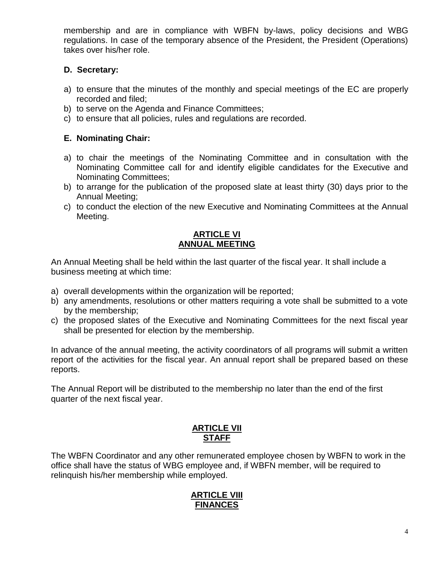membership and are in compliance with WBFN by-laws, policy decisions and WBG regulations. In case of the temporary absence of the President, the President (Operations) takes over his/her role.

# **D. Secretary:**

- a) to ensure that the minutes of the monthly and special meetings of the EC are properly recorded and filed;
- b) to serve on the Agenda and Finance Committees;
- c) to ensure that all policies, rules and regulations are recorded.

### **E. Nominating Chair:**

- a) to chair the meetings of the Nominating Committee and in consultation with the Nominating Committee call for and identify eligible candidates for the Executive and Nominating Committees;
- b) to arrange for the publication of the proposed slate at least thirty (30) days prior to the Annual Meeting;
- c) to conduct the election of the new Executive and Nominating Committees at the Annual Meeting.

## **ARTICLE VI ANNUAL MEETING**

An Annual Meeting shall be held within the last quarter of the fiscal year. It shall include a business meeting at which time:

- a) overall developments within the organization will be reported;
- b) any amendments, resolutions or other matters requiring a vote shall be submitted to a vote by the membership;
- c) the proposed slates of the Executive and Nominating Committees for the next fiscal year shall be presented for election by the membership.

In advance of the annual meeting, the activity coordinators of all programs will submit a written report of the activities for the fiscal year. An annual report shall be prepared based on these reports.

The Annual Report will be distributed to the membership no later than the end of the first quarter of the next fiscal year.

#### **ARTICLE VII STAFF**

The WBFN Coordinator and any other remunerated employee chosen by WBFN to work in the office shall have the status of WBG employee and, if WBFN member, will be required to relinquish his/her membership while employed.

# **ARTICLE VIII FINANCES**